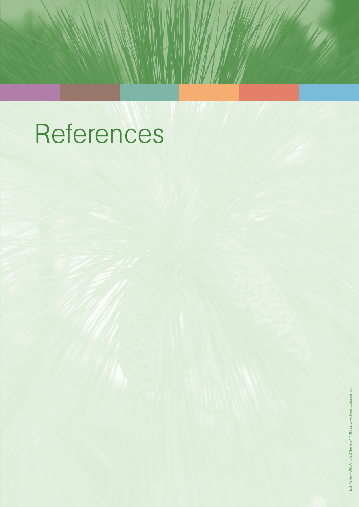## References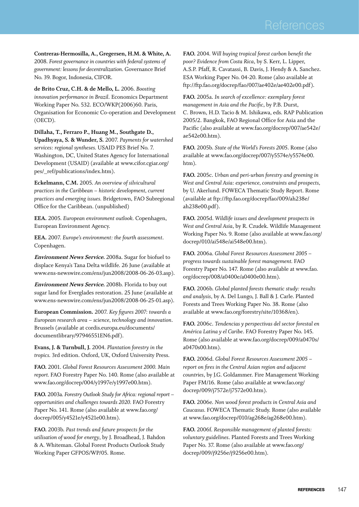**Contreras-Hermosilla, A., Gregersen, H.M. & White, A.**  2008. *Forest governance in countries with federal systems of government: lessons for decentralization*. Governance Brief No. 39. Bogor, Indonesia, CIFOR.

**de Brito Cruz, C.H. & de Mello, L.** 2006. *Boosting innovation performance in Brazil*. Economics Department Working Paper No. 532. ECO/WKP(2006)60. Paris, Organisation for Economic Co-operation and Development (OECD).

**Dillaha, T., Ferraro P., Huang M., Southgate D., Upadhyaya, S. & Wunder, S.** 2007. *Payments for watershed services: regional syntheses.* USAID PES Brief No. 7. Washington, DC, United States Agency for International Development (USAID) (available at www.cifor.cgiar.org/ pes/\_ref/publications/index.htm).

**Eckelmann, C.M.** 2005. *An overview of silvicultural practices in the Caribbean – historic development, current practices and emerging issues.* Bridgetown, FAO Subregional Office for the Caribbean. (unpublished)

**EEA.** 2005. *European environment outlook.* Copenhagen, European Environment Agency.

**EEA.** 2007. *Europe's environment: the fourth assessment*. Copenhagen.

**Environment News Service.** 2008a. Sugar for biofuel to displace Kenya's Tana Delta wildlife. 26 June (available at www.ens-newswire.com/ens/jun2008/2008-06-26-03.asp).

**Environment News Service.** 2008b. Florida to buy out sugar land for Everglades restoration. 25 June (available at www.ens-newswire.com/ens/jun2008/2008-06-25-01.asp).

**European Commission.** 2007. *Key figures 2007: towards a European research area – science, technology and innovation*. Brussels (available at cordis.europa.eu/documents/ documentlibrary/97946551EN6.pdf).

**Evans, J. & Turnbull, J.** 2004. *Plantation forestry in the tropics.* 3rd edition. Oxford, UK, Oxford University Press.

**FAO.** 2001. *Global Forest Resources Assessment 2000. Main report.* FAO Forestry Paper No. 140. Rome (also available at www.fao.org/docrep/004/y1997e/y1997e00.htm).

**FAO.** 2003a*. Forestry Outlook Study for Africa: regional report – opportunities and challenges towards 2020.* FAO Forestry Paper No. 141. Rome (also available at www.fao.org/ docrep/005/y4521e/y4521e00.htm).

**FAO.** 2003b. *Past trends and future prospects for the utilisation of wood for energy*, by J. Broadhead, J. Bahdon & A. Whiteman. Global Forest Products Outlook Study Working Paper GFPOS/WP/05. Rome.

**FAO.** 2004. *Will buying tropical forest carbon benefit the poor? Evidence from Costa Rica*, by S. Kerr, L. Lipper, A.S.P. Pfaff, R. Cavatassi, B. Davis, J. Hendy & A. Sanchez. ESA Working Paper No. 04‑20. Rome (also available at ftp://ftp.fao.org/docrep/fao/007/ae402e/ae402e00.pdf).

**FAO.** 2005a. *In search of excellence: exemplary forest management in Asia and the Pacific*, by P.B. Durst, C. Brown, H.D. Tacio & M. Ishikawa, eds. RAP Publication 2005/2. Bangkok, FAO Regional Office for Asia and the Pacific (also available at www.fao.org/docrep/007/ae542e/ ae542e00.htm).

**FAO.** 2005b. *State of the World's Forests 2005*. Rome (also available at www.fao.org/docrep/007/y5574e/y5574e00. htm).

**FAO.** 2005c. *Urban and peri-urban forestry and greening in West and Central Asia: experience, constraints and prospects,*  by U. Akerlund. FOWECA Thematic Study Report. Rome (available at ftp://ftp.fao.org/docrep/fao/009/ah238e/ ah238e00.pdf).

**FAO.** 2005d. *Wildlife issues and development prospects in West and Central Asia*, by R. Czudek. Wildlife Management Working Paper No. 9. Rome (also available at www.fao.org/ docrep/010/ai548e/ai548e00.htm).

**FAO.** 2006a. *Global Forest Resources Assessment 2005 – progress towards sustainable forest management.* FAO Forestry Paper No. 147. Rome (also available at www.fao. org/docrep/008/a0400e/a0400e00.htm).

**FAO.** 2006b. *Global planted forests thematic study: results and analysis*, by A. Del Lungo, J. Ball & J. Carle. Planted Forests and Trees Working Paper No. 38. Rome (also available at www.fao.org/forestry/site/10368/en).

**FAO.** 2006c. *Tendencias y perspectivas del sector forestal en América Latina y el Caribe*. FAO Forestry Paper No. 145. Rome (also available at www.fao.org/docrep/009/a0470s/ a0470s00.htm).

**FAO.** 2006d. *Global Forest Resources Assessment 2005 – report on fires in the Central Asian region and adjacent countries*, by J.G. Goldammer. Fire Management Working Paper FM/16. Rome (also available at www.fao.org/ docrep/009/j7572e/j7572e00.htm).

**FAO.** 2006e. *Non wood forest products in Central Asia and Caucasus.* FOWECA Thematic Study. Rome (also available at www.fao.org/docrep/010/ag268e/ag268e00.htm).

**FAO.** 2006f. *Responsible management of planted forests: voluntary guidelines*. Planted Forests and Trees Working Paper No. 37. Rome (also available at www.fao.org/ docrep/009/j9256e/j9256e00.htm).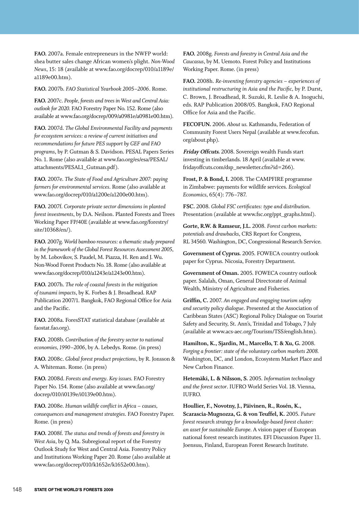**FAO.** 2007a. Female entrepreneurs in the NWFP world: shea butter sales change African women's plight. *Non-Wood News*, 15: 18 (available at www.fao.org/docrep/010/a1189e/ a1189e00.htm).

**FAO.** 2007b. *FAO Statistical Yearbook 2005–2006*. Rome.

**FAO.** 2007c. *People, forests and trees in West and Central Asia: outlook for 2020.* FAO Forestry Paper No. 152. Rome (also available at www.fao.org/docrep/009/a0981e/a0981e00.htm).

**FAO.** 2007d. *The Global Environmental Facility and payments for ecosystem services: a review of current initiatives and recommendations for future PES support by GEF and FAO programs*, by P. Gutman & S. Davidson. PESAL Papers Series No. 1. Rome (also available at www.fao.org/es/esa/PESAL/ attachments/PESAL1\_Gutman.pdf).

**FAO.** 2007e. *The State of Food and Agriculture 2007: paying farmers for environmental services*. Rome (also available at www.fao.org/docrep/010/a1200e/a1200e00.htm).

**FAO.** 2007f. *Corporate private sector dimensions in planted forest investments*, by D.A. Neilson. Planted Forests and Trees Working Paper FP/40E (available at www.fao.org/forestry/ site/10368/en/).

**FAO.** 2007g. *World bamboo resources: a thematic study prepared in the framework of the Global Forest Resources Assessment 2005*, by M. Lobovikov, S. Paudel, M. Piazza, H. Ren and J. Wu. Non-Wood Forest Products No. 18. Rome (also available at www.fao.org/docrep/010/a1243e/a1243e00.htm).

**FAO.** 2007h. *The role of coastal forests in the mitigation of tsunami impacts*, by K. Forbes & J. Broadhead. RAP Publication 2007/1. Bangkok, FAO Regional Office for Asia and the Pacific.

**FAO.** 2008a. ForesSTAT statistical database (available at faostat.fao.org).

**FAO.** 2008b. *Contribution of the forestry sector to national economies, 1990–2006*, by A. Lebedys. Rome. (in press)

**FAO.** 2008c. *Global forest product projections*, by R. Jonsson & A. Whiteman. Rome. (in press)

**FAO.** 2008d. *Forests and energy*. *Key issues.* FAO Forestry Paper No. 154. Rome (also available at www.fao.org/ docrep/010/i0139e/i0139e00.htm).

**FAO.** 2008e. *Human wildlife conflict in Africa – causes, consequences and management strategies*. FAO Forestry Paper. Rome. (in press)

**FAO.** 2008f. *The status and trends of forests and forestry in West Asia*, by Q. Ma. Subregional report of the Forestry Outlook Study for West and Central Asia. Forestry Policy and Institutions Working Paper 20. Rome (also available at www.fao.org/docrep/010/k1652e/k1652e00.htm).

**FAO.** 2008g. *Forests and forestry in Central Asia and the Caucasus*, by M. Uemoto. Forest Policy and Institutions Working Paper. Rome. (in press)

**FAO.** 2008h. *Re-inventing forestry agencies – experiences of institutional restructuring in Asia and the Pacific,* by P. Durst, C. Brown, J. Broadhead, R. Suzuki, R. Leslie & A. Inoguchi, eds. RAP Publication 2008/05. Bangkok, FAO Regional Office for Asia and the Pacific.

**FECOFUN.** 2006. *About us.* Kathmandu, Federation of Community Forest Users Nepal (available at www.fecofun. org/about.php).

**Friday Offcuts.** 2008. Sovereign wealth Funds start investing in timberlands. 18 April (available at www. fridayoffcuts.com/dsp\_newsletter.cfm?id=266).

**Frost, P. & Bond, I.** 2008. The CAMPFIRE programme in Zimbabwe: payments for wildlife services. *Ecological Economics*, 65(4): 776–787.

**FSC.** 2008. *Global FSC certificates: type and distribution*. Presentation (available at www.fsc.org/ppt\_graphs.html).

**Gorte, R.W. & Ramseur, J.L.** 2008. *Forest carbon markets: potentials and drawbacks*, CRS Report for Congress, RL 34560. Washington, DC, Congressional Research Service.

**Government of Cyprus.** 2005. FOWECA country outlook paper for Cyprus. Nicosia, Forestry Department.

**Government of Oman.** 2005. FOWECA country outlook paper. Salalah, Oman, General Directorate of Animal Wealth, Ministry of Agriculture and Fisheries.

**Griffin, C.** 2007. *An engaged and engaging tourism safety and security policy dialogue*. Presented at the Association of Caribbean States (ASC) Regional Policy Dialogue on Tourist Safety and Security, St. Ann's, Trinidad and Tobago, 7 July (available at www.acs-aec.org/Tourism/TSS/english.htm).

**Hamilton, K., Sjardin, M., Marcello, T. & Xu, G.** 2008. *Forging a frontier: state of the voluntary carbon markets 2008.*  Washington, DC, and London, Ecosystem Market Place and New Carbon Finance.

**Hetemäki, L. & Nilsson, S.** 2005. *Information technology and the forest sector*. IUFRO World Series Vol. 18. Vienna, IUFRO.

**Houllier, F., Novotny, J., Päivinen, R., Rosén, K., Scarascia-Mugnozza, G. & von Teuffel, K.** 2005. *Future forest research strategy for a knowledge-based forest cluster: an asset for sustainable Europe.* A vision paper of European national forest research institutes. EFI Discussion Paper 11. Joensuu, Finland, European Forest Research Institute.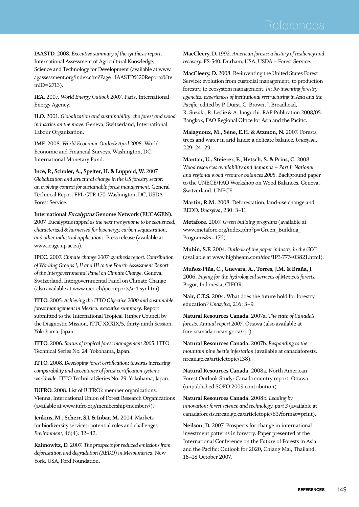**IAASTD.** 2008. Executive summary of the synthesis report. International Assessment of Agricultural Knowledge, Science and Technology for Development (available at www. agassessment.org/index.cfm?Page=IAASTD%20Reports&Ite mID=2713).

**IEA.** 2007. *World Energy Outlook 2007*. Paris, International Energy Agency.

**ILO.** 2001. *Globalization and sustainability: the forest and wood industries on the move.* Geneva, Switzerland, International Labour Organization.

**IMF.** 2008. *World Economic Outlook April 2008*. World Economic and Financial Surveys. Washington, DC, International Monetary Fund.

**Ince, P., Schuler, A., Spelter, H. & Luppold, W.** 2007. *Globalization and structural change in the US forestry sector: an evolving context for sustainable forest management*. General Technical Report FPL-GTR-170. Washington, DC, USDA Forest Service.

**International Eucalyptus Genome Network (EUCAGEN).**  2007. Eucalyptus *tapped as the next tree genome to be sequenced, characterized & harnessed for bioenergy, carbon sequestration, and other industrial applications*. Press release (available at www.ieugc.up.ac.za).

**IPCC.** 2007. *Climate change 2007: synthesis report. Contribution of Working Groups I, II and III to the Fourth Assessment Report of the Intergovernmental Panel on Climate Change*. Geneva, Switzerland, Intergovernmental Panel on Climate Change (also available at www.ipcc.ch/ipccreports/ar4-syr.htm).

**ITTO.** 2005. *Achieving the ITTO Objective 2000 and sustainable forest management in Mexico: executive summary*. Report submitted to the International Tropical Timber Council by the Diagnostic Mission, ITTC XXXIX/5, thirty-ninth Session. Yokohama, Japan.

**ITTO.** 2006. *Status of tropical forest management 2005*. ITTO Technical Series No. 24. Yokohama, Japan.

**ITTO.** 2008. *Developing forest certification: towards increasing comparability and acceptance of forest certification systems worldwide*. ITTO Technical Series No. 29. Yokohama, Japan.

**IUFRO.** 2008. List of IUFRO's member organizations. Vienna, International Union of Forest Research Organizations (available at www.iufro.org/membership/members/).

**Jenkins, M., Scherr, S.J. & Inbar, M.** 2004. Markets for biodiversity services: potential roles and challenges*. Environment*, 46(4): 32–42.

**Kaimowitz, D.** 2007. *The prospects for reduced emissions from deforestation and degradation (REDD) in Mesoamerica.* New York, USA, Ford Foundation.

**MacCleery, D.** 1992. *American forests: a history of resiliency and recovery*. FS-540. Durham, USA, USDA – Forest Service.

**MacCleery, D.** 2008. Re-inventing the United States Forest Service: evolution from custodial management, to production forestry, to ecosystem management. *In*: *Re-inventing forestry agencies: experiences of institutional restructuring in Asia and the Pacific*, edited by P. Durst, C. Brown, J. Broadhead, R. Suzuki, R. Leslie & A. Inoguchi. RAP Publication 2008/05. Bangkok, FAO Regional Office for Asia and the Pacific.

**Malagnoux, M., Sène, E.H. & Atzmon, N.** 2007. Forests, trees and water in arid lands: a delicate balance. *Unasylva*, 229: 24–29.

**Mantau, U., Steierer, F., Hetsch, S. & Prins, C.** 2008. *Wood resources availability and demands – Part I: National and regional wood resource balances 2005*. Background paper to the UNECE/FAO Workshop on Wood Balances. Geneva, Switzerland, UNECE.

**Martin, R.M.** 2008. Deforestation, land-use change and REDD. *Unasylva*, 230: 3–11.

**Metafore.** 2007. *Green building programs* (available at www.metafore.org/index.php?p=Green\_Building\_ Programs&s=176).

**Mubin, S.F.** 2004. *Outlook of the paper industry in the GCC* (available at www.highbeam.com/doc/1P3-777403821.html).

**Muñoz-Piña, C., Guevara, A., Torres, J.M. & Braña, J.**  2006**.** *Paying for the hydrological services of Mexico's forests.*  Bogor, Indonesia, CIFOR.

**Nair, C.T.S.** 2004. What does the future hold for forestry education? *Unasylva*, 216: 3–9.

**Natural Resources Canada.** 2007a. *The state of Canada's forests*. *Annual report 2007*. Ottawa (also available at foretscanada.rncan.gc.ca/rpt).

**Natural Resources Canada.** 2007b. *Responding to the mountain pine beetle infestation* (available at canadaforests. nrcan.gc.ca/articletopic/138).

**Natural Resources Canada.** 2008a. North American Forest Outlook Study: Canada country report. Ottawa. (unpublished SOFO 2009 contribution)

**Natural Resources Canada.** 2008b. *Leading by innovation: forest science and technology, part 3* (available at canadaforests.nrcan.gc.ca/articletopic/83?format=print).

**Neilson, D.** 2007. Prospects for change in international investment patterns in forestry*.* Paper presented at the International Conference on the Future of Forests in Asia and the Pacific: Outlook for 2020, Chiang Mai, Thailand, 16–18 October 2007.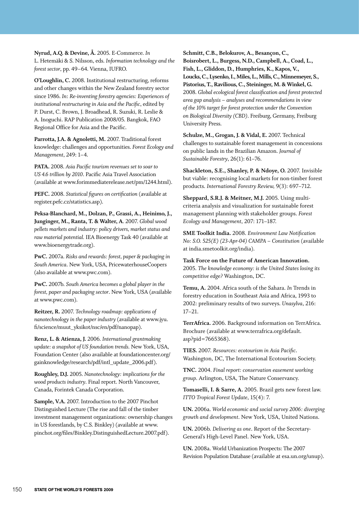**Nyrud, A.Q. & Devine, Å.** 2005. E-Commerce. *In* L. Hetemäki & S. Nilsson, eds. *Information technology and the forest sector*, pp. 49–64. Vienna, IUFRO.

**O'Loughlin, C.** 2008. Institutional restructuring, reforms and other changes within the New Zealand forestry sector since 1986. *In*: *Re-inventing forestry agencies: Experiences of institutional restructuring in Asia and the Pacific*, edited by P. Durst, C. Brown, J. Broadhead, R. Suzuki, R. Leslie & A. Inoguchi. RAP Publication 2008/05. Bangkok, FAO Regional Office for Asia and the Pacific.

Parrotta, J.A. & Agnoletti, M. 2007. Traditional forest knowledge: challenges and opportunities. *Forest Ecology and Management*, 249: 1–4.

**PATA.** 2008. *Asia Pacific tourism revenues set to soar to US 4.6 trillion by 2010*. Pacific Asia Travel Association (available at www.forimmediaterelease.net/pm/1244.html).

**PEFC.** 2008. *Statistical figures on certification* (available at register.pefc.cz/statistics.asp).

**Peksa-Blanchard, M., Dolzan, P., Grassi, A., Heinimo, J., Junginger, M., Ranta, T. & Walter, A**. 2007. *Global wood pellets markets and industry: policy drivers, market status and raw material potential.* IEA Bioenergy Task 40 (available at www.bioenergytrade.org).

**PwC.** 2007a. *Risks and rewards: forest, paper & packaging in South America*. New York, USA, PricewaterhouseCoopers (also available at www.pwc.com).

**PwC.** 2007b. *South America becomes a global player in the forest, paper and packaging sector*. New York, USA (available at www.pwc.com).

**Reitzer, R.** 2007. *Technology roadmap: applications of nanotechnology in the paper industry* (available at www.jyu. fi/science/muut\_yksikot/nsc/en/pdf/nanopap).

**Renz, L. & Atienza, J.** 2006. *International grantmaking update: a snapshot of US foundation trends.* New York, USA, Foundation Center (also available at foundationcenter.org/ gainknowledge/research/pdf/intl\_update\_2006.pdf).

**Roughley, D.J.** 2005. *Nanotechnology: implications for the wood products industry*. Final report. North Vancouver, Canada, Forintek Canada Corporation.

**Sample, V.A.** 2007. Introduction to the 2007 Pinchot Distinguished Lecture (The rise and fall of the timber investment management organizations: ownership changes in US forestlands, by C.S. Binkley) (available at www. pinchot.org/files/Binkley.DistinguishedLecture.2007.pdf).

**Schmitt, C.B., Belokurov, A., Besançon, C., Boisrobert, L., Burgess, N.D., Campbell, A., Coad, L., Fish, L., Gliddon, D., Humphries, K., Kapos, V., Loucks, C., Lysenko, I., Miles, L., Mills, C., Minnemeyer, S., Pistorius, T., Ravilious, C., Steininger, M. & Winkel, G.**  2008. *Global ecological forest classification and forest protected area gap analysis – analyses and recommendations in view of the 10% target for forest protection under the Convention on Biological Diversity (CBD)*. Freiburg, Germany, Freiburg University Press.

**Schulze, M., Grogan, J. & Vidal, E.** 2007. Technical challenges to sustainable forest management in concessions on public lands in the Brazilian Amazon. *Journal of Sustainable Forestry*, 26(1): 61–76.

**Shackleton, S.E., Shanley, P. & Ndoye, O.** 2007. Invisible but viable: recognising local markets for non-timber forest products. *International Forestry Review,* 9(3): 697–712.

**Sheppard, S.R.J. & Meitner, M.J.** 2005. Using multicriteria analysis and visualization for sustainable forest management planning with stakeholder groups. *Forest Ecology and Management*, 207: 171–187.

**SME Toolkit India.** 2008. *Environment Law Notification No: S.O. 525(E) (23-Apr-04) CAMPA – Constitution* (available at india.smetoolkit.org/india).

**Task Force on the Future of American Innovation.** 2005. *The knowledge economy: is the United States losing its competitive edge?* Washington, DC.

**Temu, A.** 2004. Africa south of the Sahara. *In* Trends in forestry education in Southeast Asia and Africa, 1993 to 2002: preliminary results of two surveys. *Unasylva*, 216: 17–21.

**TerrAfrica.** 2006. Background information on TerrAfrica. Brochure (available at www.terrafrica.org/default. asp?pid=7665368).

**TIES.** 2007. *Resources: ecotourism in Asia Pacific*. Washington, DC, The International Ecotourism Society.

**TNC.** 2004*. Final report: conservation easement working group*. Arlington, USA, The Nature Conservancy.

**Tomaselli, I. & Sarre, A.** 2005. Brazil gets new forest law. *ITTO Tropical Forest Update*, 15(4): 7.

**UN.** 2006a. *World economic and social survey 2006: diverging growth and development*. New York, USA, United Nations.

**UN.** 2006b. *Delivering as one*. Report of the Secretary-General's High-Level Panel. New York, USA.

**UN.** 2008a. World Urbanization Prospects: The 2007 Revision Population Database (available at esa.un.org/unup).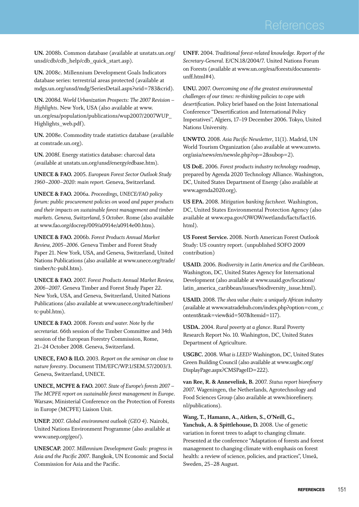**UN.** 2008b. Common database (available at unstats.un.org/ unsd/cdb/cdb\_help/cdb\_quick\_start.asp).

**UN.** 2008c. Millennium Development Goals Indicators database series: terrestrial areas protected (available at mdgs.un.org/unsd/mdg/SeriesDetail.aspx?srid=783&crid).

**UN.** 2008d. *World Urbanization Prospects: The 2007 Revision – Highlights*. New York, USA (also available at www. un.org/esa/population/publications/wup2007/2007WUP\_ Highlights\_web.pdf).

**UN.** 2008e. Commodity trade statistics database (available at comtrade.un.org).

**UN.** 2008f. Energy statistics database: charcoal data (available at unstats.un.org/unsd/energy/edbase.htm).

**UNECE & FAO.** 2005. *European Forest Sector Outlook Study 1960–2000–2020: main report.* Geneva, Switzerland.

**UNECE & FAO.** 2006a. *Proceedings, UNECE/FAO policy forum: public procurement policies on wood and paper products and their impacts on sustainable forest management and timber markets*. *Geneva, Switzerland, 5 October*. Rome (also available at www.fao.org/docrep/009/a0914e/a0914e00.htm).

**UNECE & FAO.** 2006b. *Forest Products Annual Market Review, 2005–2006*. Geneva Timber and Forest Study Paper 21. New York, USA, and Geneva, Switzerland, United Nations Publications (also available at www.unece.org/trade/ timber/tc-publ.htm).

**UNECE & FAO.** 2007. *Forest Products Annual Market Review, 2006–2007*. Geneva Timber and Forest Study Paper 22. New York, USA, and Geneva, Switzerland, United Nations Publications (also available at www.unece.org/trade/timber/ tc-publ.htm).

**UNECE & FAO.** 2008. *Forests and water. Note by the secretariat*. 66th session of the Timber Committee and 34th session of the European Forestry Commission, Rome, 21–24 October 2008. Geneva, Switzerland.

**UNECE, FAO & ILO.** 2003. *Report on the seminar on close to nature forestry*. Document TIM/EFC/WP.1/SEM.57/2003/3. Geneva, Switzerland, UNECE.

**UNECE, MCPFE & FAO.** 2007. *State of Europe's forests 2007 – The MCPFE report on sustainable forest management in Europe*. Warsaw, Ministerial Conference on the Protection of Forests in Europe (MCPFE) Liaison Unit.

**UNEP.** 2007. *Global environment outlook (GEO 4)*. Nairobi, United Nations Environment Programme (also available at www.unep.org/geo/).

**UNESCAP.** 2007. *Millennium Development Goals: progress in Asia and the Pacific 2007*. Bangkok, UN Economic and Social Commission for Asia and the Pacific.

**UNFF.** 2004. *Traditional forest-related knowledge. Report of the Secretary-General.* E/CN.18/2004/7. United Nations Forum on Forests (available at www.un.org/esa/forests/documentsunff.html#4).

**UNU.** 2007. *Overcoming one of the greatest environmental challenges of our times: re-thinking policies to cope with desertification*. Policy brief based on the Joint International Conference "Desertification and International Policy Imperatives", Algiers, 17–19 December 2006. Tokyo, United Nations University.

**UNWTO.** 2008. *Asia Pacific Newsletter*, 11(1). Madrid, UN World Tourism Organization (also available at www.unwto. org/asia/news/en/newsle.php?op=2&subop=2).

**US DoE.** 2006. *Forest products industry technology roadmap*, prepared by Agenda 2020 Technology Alliance. Washington, DC, United States Department of Energy (also available at www.agenda2020.org).

**US EPA.** 2008. *Mitigation banking factsheet.* Washington, DC, United States Environmental Protection Agency (also available at www.epa.gov/OWOW/wetlands/facts/fact16. html).

**US Forest Service.** 2008. North American Forest Outlook Study: US country report. (unpublished SOFO 2009 contribution)

**USAID.** 2006. *Biodiversity in Latin America and the Caribbean*. Washington, DC, United States Agency for International Development (also available at www.usaid.gov/locations/ latin\_america\_caribbean/issues/biodiversity\_issue.html).

**USAID.** 2008. *The shea value chain: a uniquely African industry* (available at www.watradehub.com/index.php?option=com\_c ontent&task=view&id=507&Itemid=117).

**USDA.** 2004. *Rural poverty at a glance*. Rural Poverty Research Report No. 10. Washington, DC, United States Department of Agriculture.

**USGBC.** 2008. *What is LEED?* Washington, DC, United States Green Building Council (also available at www.usgbc.org/ DisplayPage.aspx?CMSPageID=222).

**van Ree, R. & Annevelink, B.** 2007. *Status report biorefinery 2007*. Wageningen, the Netherlands, Agrotechnology and Food Sciences Group (also available at www.biorefinery. nl/publications).

**Wang, T., Hamann, A., Aitken, S., O'Neill, G., Yanchuk, A. & Spittlehouse, D.** 2008. Use of genetic variation in forest trees to adapt to changing climate*.* Presented at the conference "Adaptation of forests and forest management to changing climate with emphasis on forest health: a review of science, policies, and practices", Umeå, Sweden, 25–28 August.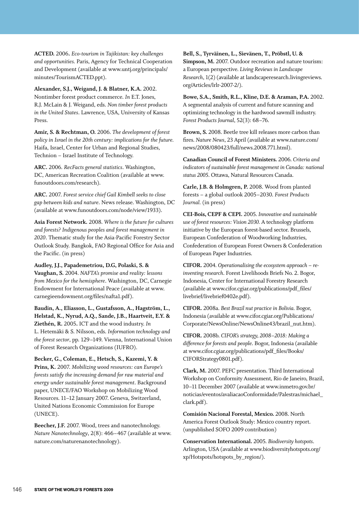**ACTED.** 2006**.** *Eco-tourism in Tajikistan: key challenges and opportunities.* Paris, Agency for Technical Cooperation and Development (available at www.untj.org/principals/ minutes/TourismACTED.ppt).

**Alexander, S.J., Weigand, J. & Blatner, K.A.** 2002. Nontimber forest product commerce. *In* E.T. Jones, R.J. McLain & J. Weigand, eds. *Non timber forest products in the United States*. Lawrence, USA, University of Kansas Press.

**Amir, S. & Rechtman, O.** 2006. *The development of forest policy in Israel in the 20th century: implications for the future.*  Haifa, Israel, Center for Urban and Regional Studies, Technion – Israel Institute of Technology.

**ARC.** 2006. *RecFacts general statistics*. Washington, DC, American Recreation Coalition (available at www. funoutdoors.com/research).

**ARC.** 2007. *Forest service chief Gail Kimbell seeks to close gap between kids and nature*. News release. Washington, DC (available at www.funoutdoors.com/node/view/1933).

**Asia Forest Network.** 2008. *Where is the future for cultures and forests? Indigenous peoples and forest management in 2020*. Thematic study for the Asia-Pacific Forestry Sector Outlook Study. Bangkok, FAO Regional Office for Asia and the Pacific. (in press)

**Audley, J.J., Papademetriou, D.G, Polaski, S. & Vaughan, S.** 2004. *NAFTA's promise and reality: lessons from Mexico for the hemisphere*. Washington, DC, Carnegie Endowment for International Peace (available at www. carnegieendowment.org/files/nafta1.pdf).

**Baudin, A., Eliasson, L., Gustafsson, A., Hagström, L., Helstad, K., Nyrud, A.Q., Sande, J.B., Haartveit, E.Y. & Ziethén, R.** 2005**.** ICT and the wood industry. *In* L. Hetemäki & S. Nilsson, eds. *Information technology and the forest sector*, pp. 129–149. Vienna, International Union of Forest Research Organizations (IUFRO).

**Becker, G., Coleman, E., Hetsch, S., Kazemi, Y. & Prins, K.** 2007. *Mobilizing wood resources: can Europe's forests satisfy the increasing demand for raw material and energy under sustainable forest management*. Background paper, UNECE/FAO Workshop on Mobilizing Wood Resources. 11–12 January 2007. Geneva, Switzerland, United Nations Economic Commission for Europe (UNECE).

**Beecher, J.F.** 2007. Wood, trees and nanotechnology. *Nature Nanotechnology*, 2(8): 466–467 (available at www. nature.com/naturenanotechnology).

**Bell, S., Tyrväinen, L., Sievänen, T., Pröbstl, U. & Simpson, M.** 2007. Outdoor recreation and nature tourism: a European perspective. *Living Reviews in Landscape Research*, 1(2) (available at landscaperesearch.livingreviews. org/Articles/lrlr-2007-2/).

**Bowe, S.A., Smith, R.L., Kline, D.E. & Araman, P.A.** 2002. A segmental analysis of current and future scanning and optimizing technology in the hardwood sawmill industry. *Forest Products Journal*, 52(3): 68–76.

**Brown, S.** 2008. Beetle tree kill releases more carbon than fires. *Nature News*, 23 April (available at www.nature.com/ news/2008/080423/full/news.2008.771.html).

**Canadian Council of Forest Ministers.** 2006. *Criteria and indicators of sustainable forest management in Canada: national status 2005*. Ottawa, Natural Resources Canada.

**Carle, J.B. & Holmgren, P.** 2008. Wood from planted forests – a global outlook 2005–2030. *Forest Products Journal.* (in press)

**CEI-Bois, CEPF & CEPI.** 2005. *Innovative and sustainable use of forest resources: Vision 2030.* A technology platform initiative by the European forest-based sector. Brussels, European Confederation of Woodworking Industries, Confederation of European Forest Owners & Confederation of European Paper Industries.

**CIFOR.** 2004. *Operationalising the ecosystem approach – reinventing research*. Forest Livelihoods Briefs No. 2. Bogor, Indonesia, Center for International Forestry Research (available at www.cifor.cgiar.org/publications/pdf\_files/ livebrief/livebrief0402e.pdf).

**CIFOR.** 2008a. *Best Brazil nut practice in Bolivia.* Bogor, Indonesia (available at www.cifor.cgiar.org/Publications/ Corporate/NewsOnline/NewsOnline43/brazil\_nut.htm).

**CIFOR.** 2008b. *CIFOR's strategy, 2008–2018: Making a difference for forests and people*. Bogor, Indonesia (available at www.cifor.cgiar.org/publications/pdf\_files/Books/ CIFORStrategy0801.pdf).

**Clark, M.** 2007. PEFC presentation. Third International Workshop on Conformity Assessment*,* Rio de Janeiro, Brazil, 10–11 December 2007 (available at www.inmetro.gov.br/ noticias/eventos/avaliacaoConformidade/Palestras/michael\_ clark.pdf).

**Comisión Nacional Forestal, Mexico.** 2008. North America Forest Outlook Study: Mexico country report. (unpublished SOFO 2009 contribution)

**Conservation International.** 2005. *Biodiversity hotspots*. Arlington, USA (available at www.biodiversityhotspots.org/ xp/Hotspots/hotspots\_by\_region/).